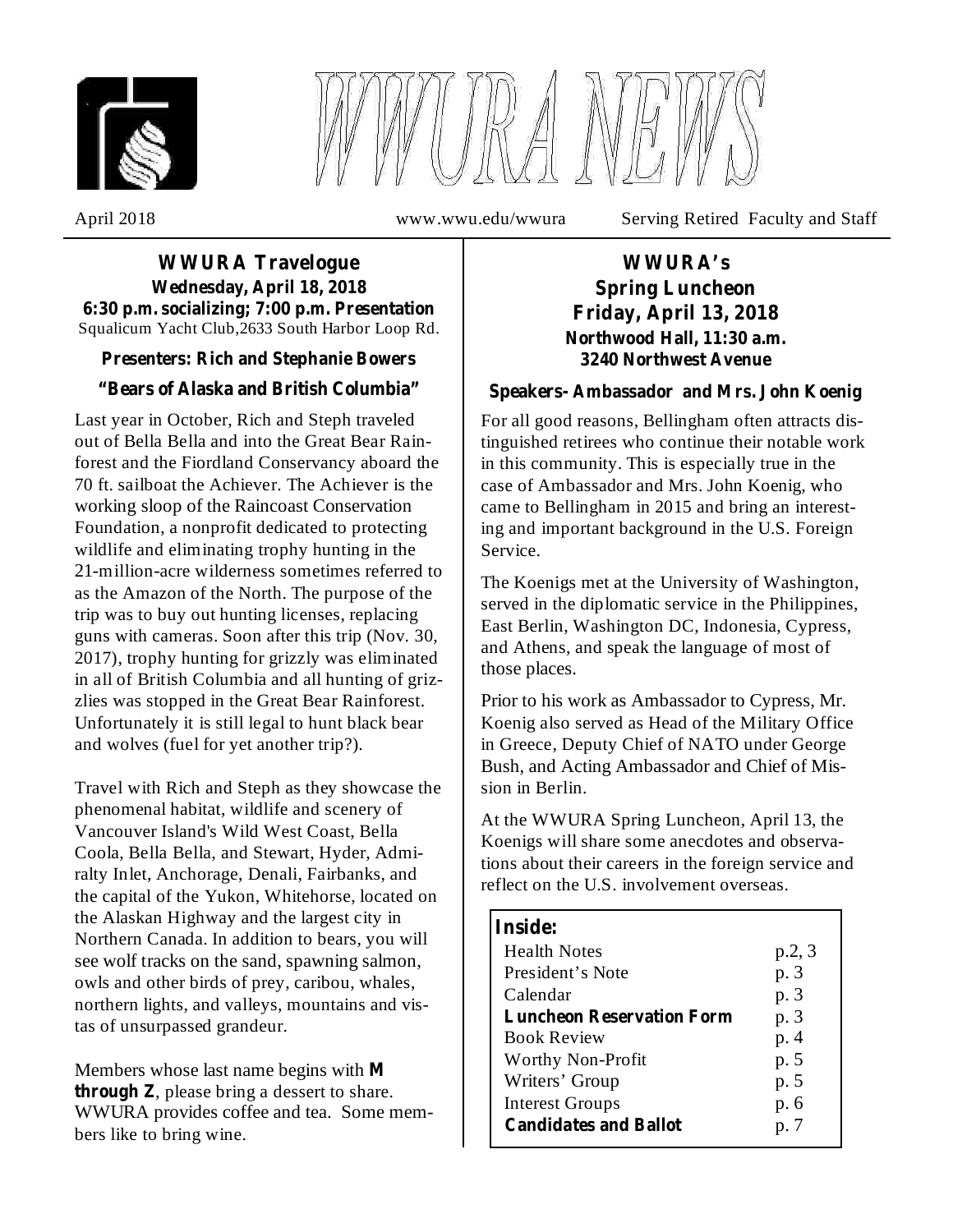



April 2018 www.wwu.edu/wwura Serving Retired Faculty and Staff

#### Squalicum Yacht Club,2633 South Harbor Loop Rd. **WWURA Travelogue Wednesday, April 18, 2018 6:30 p.m. socializing; 7:00 p.m. Presentation**

## **Presenters: Rich and Stephanie Bowers**

## **"Bears of Alaska and British Columbia"**

Last year in October, Rich and Steph traveled out of Bella Bella and into the Great Bear Rainforest and the Fiordland Conservancy aboard the 70 ft. sailboat the Achiever. The Achiever is the working sloop of the Raincoast Conservation Foundation, a nonprofit dedicated to protecting wildlife and eliminating trophy hunting in the 21-million-acre wilderness sometimes referred to as the Amazon of the North. The purpose of the trip was to buy out hunting licenses, replacing guns with cameras. Soon after this trip (Nov. 30, 2017), trophy hunting for grizzly was eliminated in all of British Columbia and all hunting of grizzlies was stopped in the Great Bear Rainforest. Unfortunately it is still legal to hunt black bear and wolves (fuel for yet another trip?).

Travel with Rich and Steph as they showcase the phenomenal habitat, wildlife and scenery of Vancouver Island's Wild West Coast, Bella Coola, Bella Bella, and Stewart, Hyder, Admiralty Inlet, Anchorage, Denali, Fairbanks, and the capital of the Yukon, Whitehorse, located on the Alaskan Highway and the largest city in Northern Canada. In addition to bears, you will see wolf tracks on the sand, spawning salmon, owls and other birds of prey, caribou, whales, northern lights, and valleys, mountains and vistas of unsurpassed grandeur.

Members whose last name begins with **M through Z**, please bring a dessert to share. WWURA provides coffee and tea. Some members like to bring wine.

# **WWURA's Spring Luncheon Friday, April 13, 2018 Northwood Hall, 11:30 a.m. 3240 Northwest Avenue**

#### **Speakers- Ambassador and Mrs. John Koenig**

For all good reasons, Bellingham often attracts distinguished retirees who continue their notable work in this community. This is especially true in the case of Ambassador and Mrs. John Koenig, who came to Bellingham in 2015 and bring an interesting and important background in the U.S. Foreign Service.

The Koenigs met at the University of Washington, served in the diplomatic service in the Philippines, East Berlin, Washington DC, Indonesia, Cypress, and Athens, and speak the language of most of those places.

Prior to his work as Ambassador to Cypress, Mr. Koenig also served as Head of the Military Office in Greece, Deputy Chief of NATO under George Bush, and Acting Ambassador and Chief of Mission in Berlin.

At the WWURA Spring Luncheon, April 13, the Koenigs will share some anecdotes and observations about their careers in the foreign service and reflect on the U.S. involvement overseas.

| <b>Inside:</b>                   |        |
|----------------------------------|--------|
| <b>Health Notes</b>              | p.2, 3 |
| President's Note                 | p. 3   |
| Calendar                         | p. 3   |
| <b>Luncheon Reservation Form</b> | p. 3   |
| <b>Book Review</b>               | p. 4   |
| Worthy Non-Profit                | p. 5   |
| Writers' Group                   | p. 5   |
| <b>Interest Groups</b>           | p. 6   |
| <b>Candidates and Ballot</b>     | p. 7   |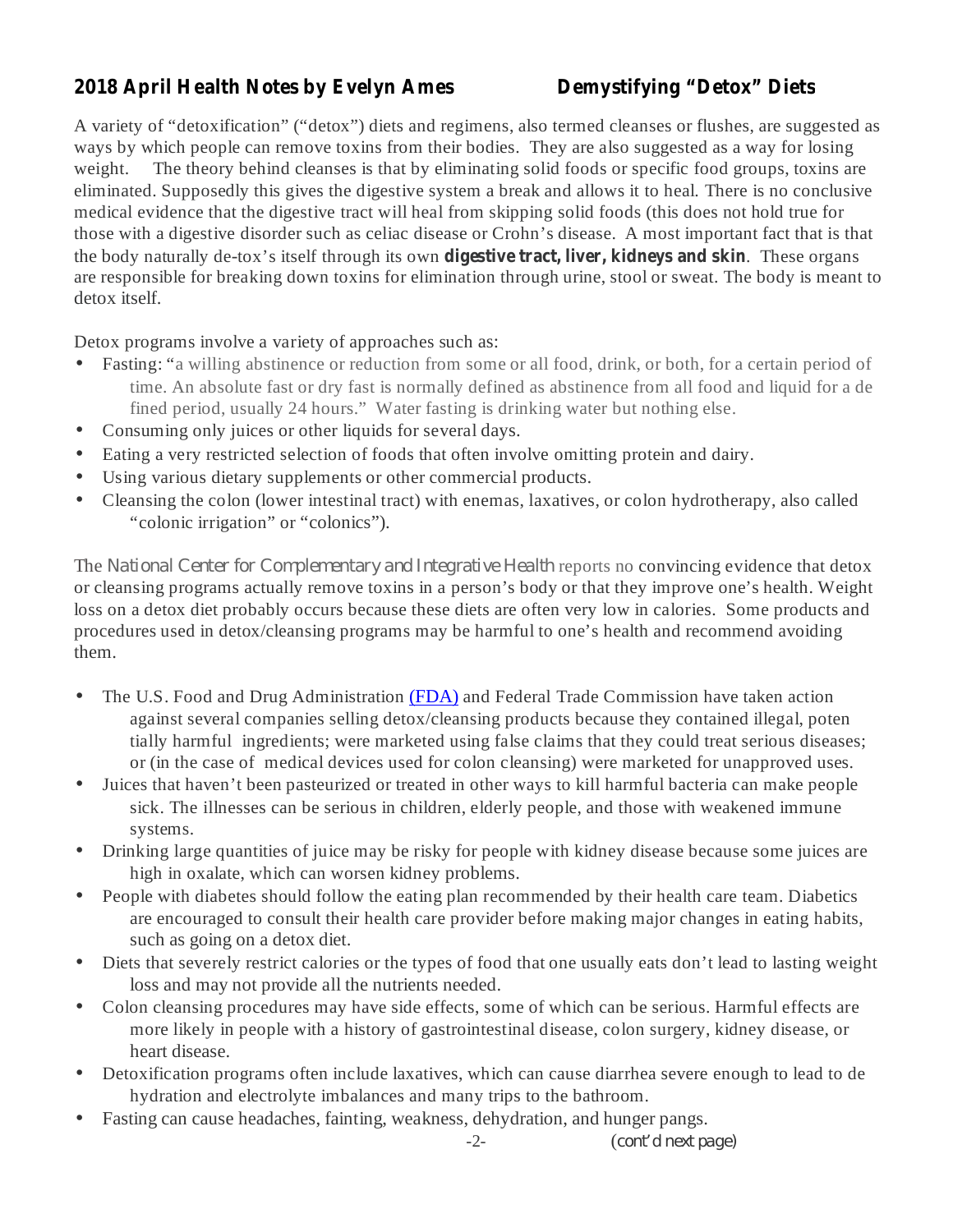# **2018 April Health Notes by Evelyn Ames Demystifying "Detox" Diets**

the body naturally de-tox's itself through its own **digestive tract, liver, kidneys and skin**. These organs A variety of "detoxification" ("detox") diets and regimens, also termed cleanses or flushes, are suggested as ways by which people can remove toxins from their bodies. They are also suggested as a way for losing weight. The theory behind cleanses is that by eliminating solid foods or specific food groups, toxins are eliminated. Supposedly this gives the digestive system a break and allows it to heal. There is no conclusive medical evidence that the digestive tract will heal from skipping solid foods (this does not hold true for those with a digestive disorder such as celiac disease or Crohn's disease. A most important fact that is that are responsible for breaking down toxins for elimination through urine, stool or sweat. The body is meant to detox itself.

Detox programs involve a variety of approaches such as:

- Fasting: "a willing abstinence or reduction from some or all food, drink, or both, for a certain period of time. An absolute fast or dry fast is normally defined as abstinence from all food and liquid for a de fined period, usually 24 hours." Water fasting is drinking water but nothing else. •
- Consuming only juices or other liquids for several days. •
- Eating a very restricted selection of foods that often involve omitting protein and dairy.  $\bullet$
- Using various dietary supplements or other commercial products. •
- Cleansing the colon (lower intestinal tract) with enemas, laxatives, or colon hydrotherapy, also called "colonic irrigation" or "colonics"). •

The National Center for Complementary and Integrative Health reports no convincing evidence that detox or cleansing programs actually remove toxins in a person's body or that they improve one's health. Weight loss on a detox diet probably occurs because these diets are often very low in calories. Some products and procedures used in detox/cleansing programs may be harmful to one's health and recommend avoiding them.

- The U.S. Food and Drug Administration (FDA) and Federal Trade Commission have taken action against several companies selling detox/cleansing products because they contained illegal, poten tially harmful ingredients; were marketed using false claims that they could treat serious diseases; or (in the case of medical devices used for colon cleansing) were marketed for unapproved uses. •
- Juices that haven't been pasteurized or treated in other ways to kill harmful bacteria can make people sick. The illnesses can be serious in children, elderly people, and those with weakened immune systems. •
- Drinking large quantities of juice may be risky for people with kidney disease because some juices are high in oxalate, which can worsen kidney problems. •
- People with diabetes should follow the eating plan recommended by their health care team. Diabetics are encouraged to consult their health care provider before making major changes in eating habits, such as going on a detox diet. •
- Diets that severely restrict calories or the types of food that one usually eats don't lead to lasting weight loss and may not provide all the nutrients needed. •
- Colon cleansing procedures may have side effects, some of which can be serious. Harmful effects are more likely in people with a history of gastrointestinal disease, colon surgery, kidney disease, or heart disease. •
- Detoxification programs often include laxatives, which can cause diarrhea severe enough to lead to de hydration and electrolyte imbalances and many trips to the bathroom. •
- Fasting can cause headaches, fainting, weakness, dehydration, and hunger pangs. •

 $-2-$  ( *cont'd next page)*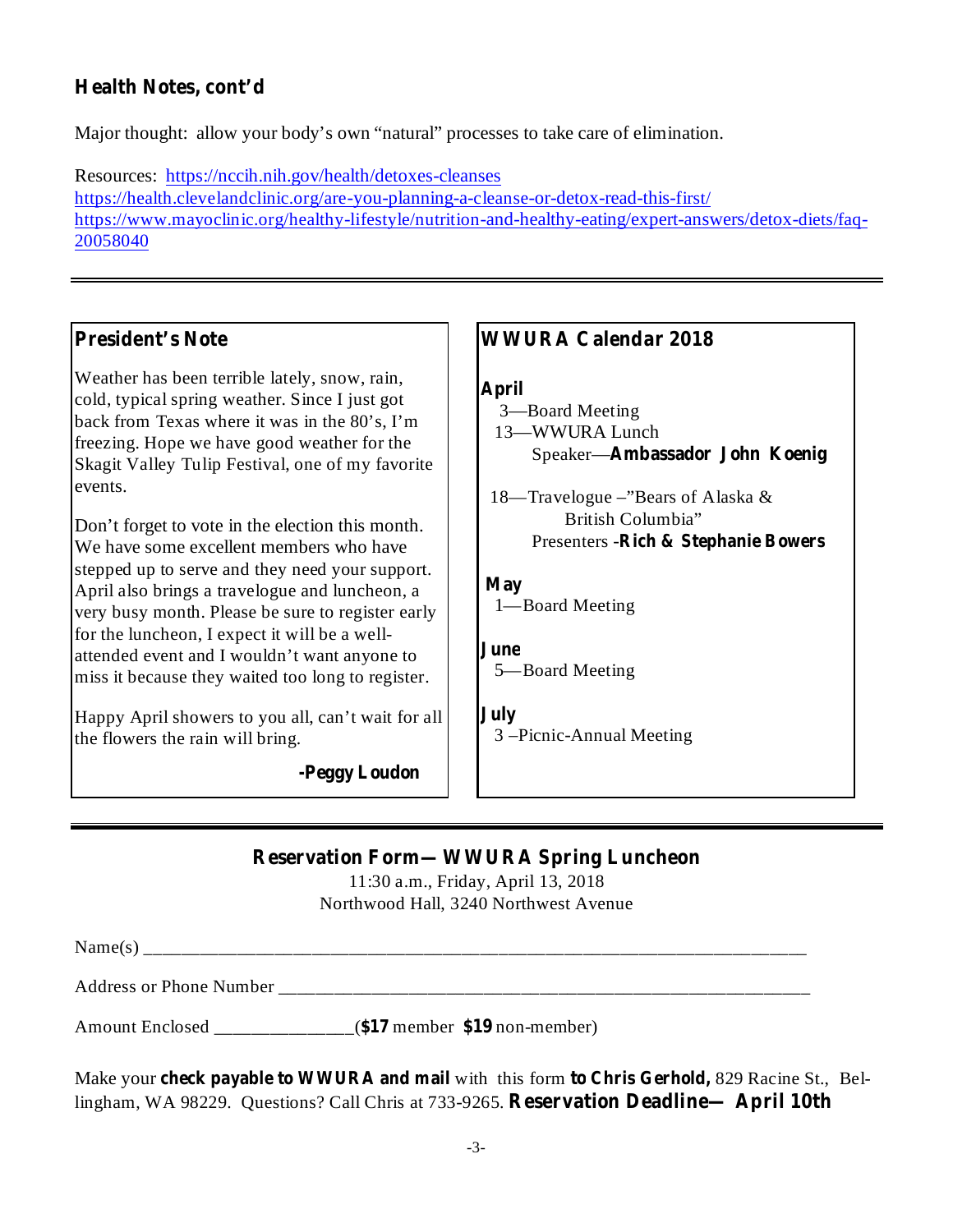# **Health Notes, cont'd**

Major thought: allow your body's own "natural" processes to take care of elimination.

Resources: https://nccih.nih.gov/health/detoxes-cleanses https://health.clevelandclinic.org/are-you-planning-a-cleanse-or-detox-read-this-first/ https://www.mayoclinic.org/healthy-lifestyle/nutrition-and-healthy-eating/expert-answers/detox-diets/faq-20058040

## **President's Note**

Weather has been terrible lately, snow, rain, cold, typical spring weather. Since I just got back from Texas where it was in the 80's, I'm freezing. Hope we have good weather for the Skagit Valley Tulip Festival, one of my favorite events.

Don't forget to vote in the election this month. We have some excellent members who have stepped up to serve and they need your support. April also brings a travelogue and luncheon, a very busy month. Please be sure to register early for the luncheon, I expect it will be a wellattended event and I wouldn't want anyone to miss it because they waited too long to register.

Happy April showers to you all, can't wait for all the flowers the rain will bring.

**-Peggy Loudon**

## **WWURA Calendar 2018**

#### **April**

- **Ambassador John Koenig** Speaker— 3—Board Meeting 13—WWURA Lunch
- **Rich & Stephanie Bowers** Presenters 18—Travelogue –"Bears of Alaska & British Columbia"

#### **May** 1—Board Meeting

## **June** 5—Board Meeting

**July** 3 –Picnic-Annual Meeting

# **Reservation Form—WWURA Spring Luncheon**

11:30 a.m., Friday, April 13, 2018 Northwood Hall, 3240 Northwest Avenue

Name(s) \_\_\_\_\_\_\_\_\_\_\_\_\_\_\_\_\_\_\_\_\_\_\_\_\_\_\_\_\_\_\_\_\_\_\_\_\_\_\_\_\_\_\_\_\_\_\_\_\_\_\_\_\_\_\_\_\_\_\_\_\_\_\_\_\_\_\_\_\_\_\_

Address or Phone Number \_\_\_\_\_\_\_\_\_\_\_\_\_\_\_\_\_\_\_\_\_\_\_\_\_\_\_\_\_\_\_\_\_\_\_\_\_\_\_\_\_\_\_\_\_\_\_\_\_\_\_\_\_\_\_\_\_

Amount Enclosed \_\_\_\_\_\_\_\_\_\_\_\_\_\_\_\_(\$17 member \$19 non-member)

**Check payable to WWURA** and **mail** with this form **to Chris Gerhold**, 829 Racine St., Bellingham, WA 98229. Questions? Call Chris at 733-9265. Reservation Deadline— April 10th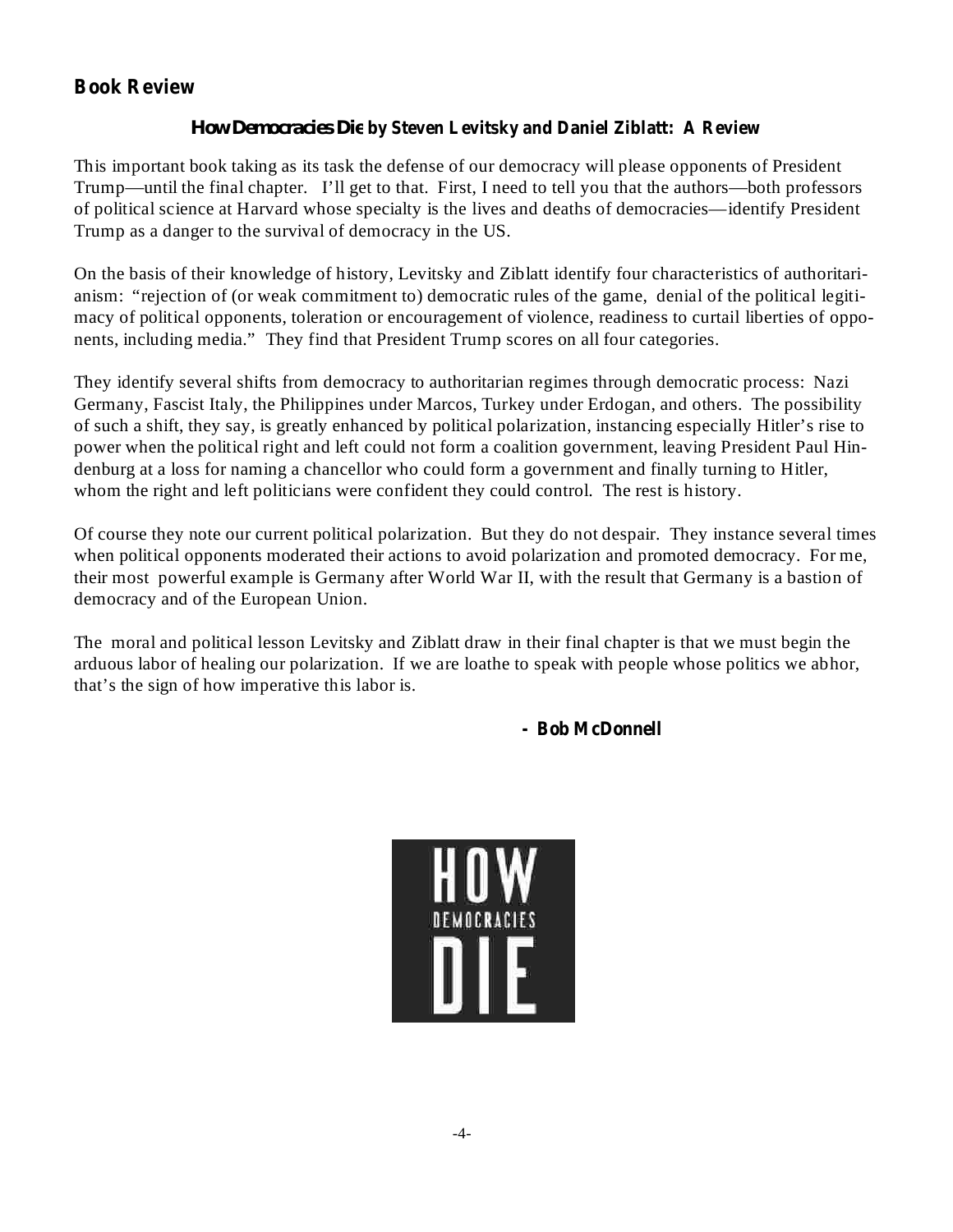# **Book Review**

### **by Steven Levitsky and Daniel Ziblatt: A Review** *How Democracies Die*

This important book taking as its task the defense of our democracy will please opponents of President Trump—until the final chapter. I'll get to that. First, I need to tell you that the authors—both professors of political science at Harvard whose specialty is the lives and deaths of democracies—identify President Trump as a danger to the survival of democracy in the US.

On the basis of their knowledge of history, Levitsky and Ziblatt identify four characteristics of authoritarianism: "rejection of (or weak commitment to) democratic rules of the game, denial of the political legitimacy of political opponents, toleration or encouragement of violence, readiness to curtail liberties of opponents, including media." They find that President Trump scores on all four categories.

They identify several shifts from democracy to authoritarian regimes through democratic process: Nazi Germany, Fascist Italy, the Philippines under Marcos, Turkey under Erdogan, and others. The possibility of such a shift, they say, is greatly enhanced by political polarization, instancing especially Hitler's rise to power when the political right and left could not form a coalition government, leaving President Paul Hindenburg at a loss for naming a chancellor who could form a government and finally turning to Hitler, whom the right and left politicians were confident they could control. The rest is history.

Of course they note our current political polarization. But they do not despair. They instance several times when political opponents moderated their actions to avoid polarization and promoted democracy. For me, their most powerful example is Germany after World War II, with the result that Germany is a bastion of democracy and of the European Union.

The moral and political lesson Levitsky and Ziblatt draw in their final chapter is that we must begin the arduous labor of healing our polarization. If we are loathe to speak with people whose politics we abhor, that's the sign of how imperative this labor is.

#### **- Bob McDonnell**

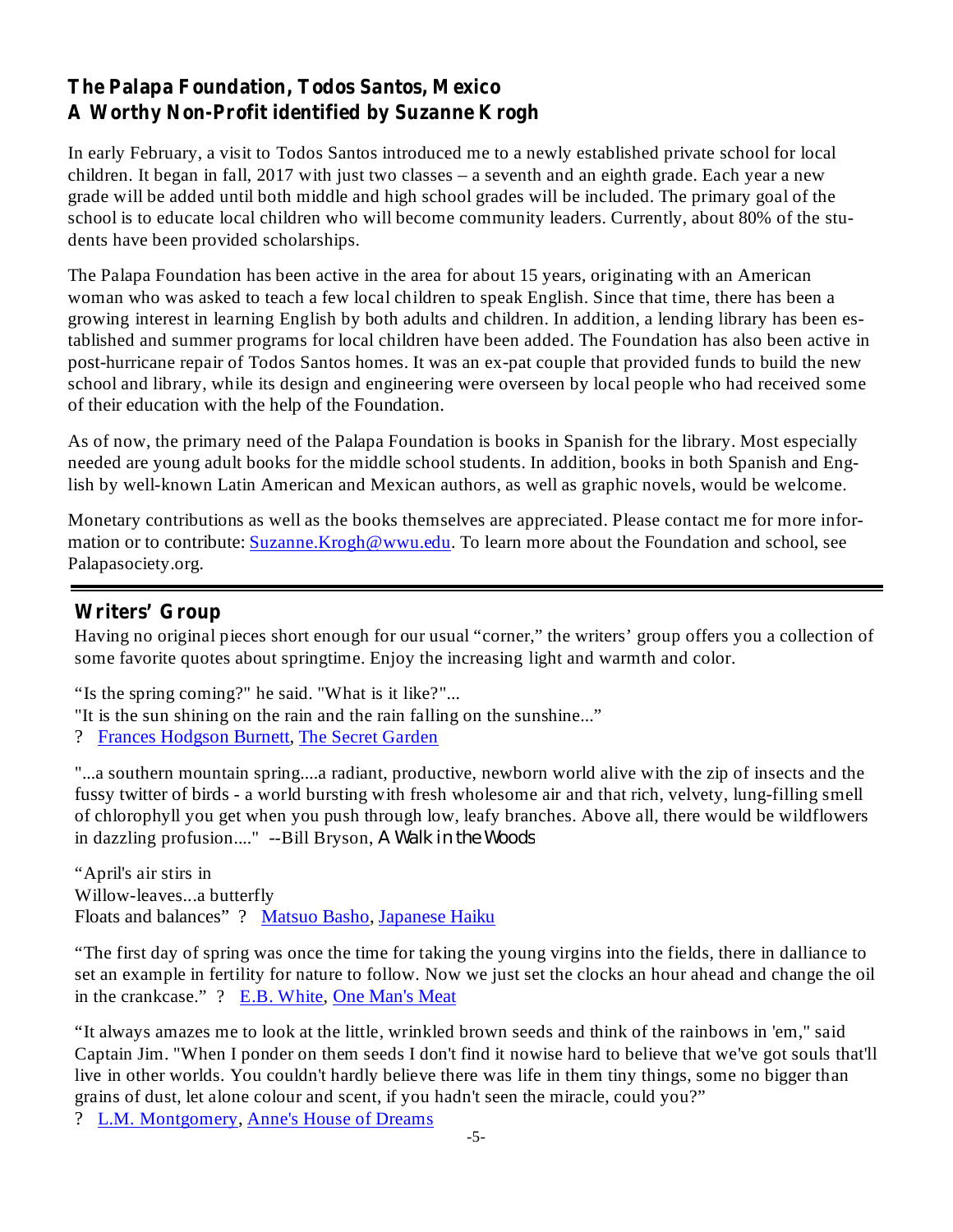# **The Palapa Foundation, Todos Santos, Mexico A Worthy Non-Profit identified by Suzanne Krogh**

In early February, a visit to Todos Santos introduced me to a newly established private school for local children. It began in fall, 2017 with just two classes – a seventh and an eighth grade. Each year a new grade will be added until both middle and high school grades will be included. The primary goal of the school is to educate local children who will become community leaders. Currently, about 80% of the students have been provided scholarships.

The Palapa Foundation has been active in the area for about 15 years, originating with an American woman who was asked to teach a few local children to speak English. Since that time, there has been a growing interest in learning English by both adults and children. In addition, a lending library has been established and summer programs for local children have been added. The Foundation has also been active in post-hurricane repair of Todos Santos homes. It was an ex-pat couple that provided funds to build the new school and library, while its design and engineering were overseen by local people who had received some of their education with the help of the Foundation.

As of now, the primary need of the Palapa Foundation is books in Spanish for the library. Most especially needed are young adult books for the middle school students. In addition, books in both Spanish and English by well-known Latin American and Mexican authors, as well as graphic novels, would be welcome.

Monetary contributions as well as the books themselves are appreciated. Please contact me for more information or to contribute: Suzanne.Krogh@wwu.edu. To learn more about the Foundation and school, see Palapasociety.org.

## **Writers' Group**

Having no original pieces short enough for our usual "corner," the writers' group offers you a collection of some favorite quotes about springtime. Enjoy the increasing light and warmth and color.

"Is the spring coming?" he said. "What is it like?"...

- "It is the sun shining on the rain and the rain falling on the sunshine..."
- ? Frances Hodgson Burnett, The Secret Garden

"...a southern mountain spring....a radiant, productive, newborn world alive with the zip of insects and the fussy twitter of birds - a world bursting with fresh wholesome air and that rich, velvety, lung-filling smell of chlorophyll you get when you push through low, leafy branches. Above all, there would be wildflowers in dazzling profusion...." --Bill Bryson, *A Walk in the Woods*

"April's air stirs in Willow-leaves...a butterfly Floats and balances" ? Matsuo Basho, Japanese Haiku

"The first day of spring was once the time for taking the young virgins into the fields, there in dalliance to set an example in fertility for nature to follow. Now we just set the clocks an hour ahead and change the oil in the crankcase." ? E.B. White, One Man's Meat

"It always amazes me to look at the little, wrinkled brown seeds and think of the rainbows in 'em," said Captain Jim. "When I ponder on them seeds I don't find it nowise hard to believe that we've got souls that'll live in other worlds. You couldn't hardly believe there was life in them tiny things, some no bigger than grains of dust, let alone colour and scent, if you hadn't seen the miracle, could you?"

? L.M. Montgomery, Anne's House of Dreams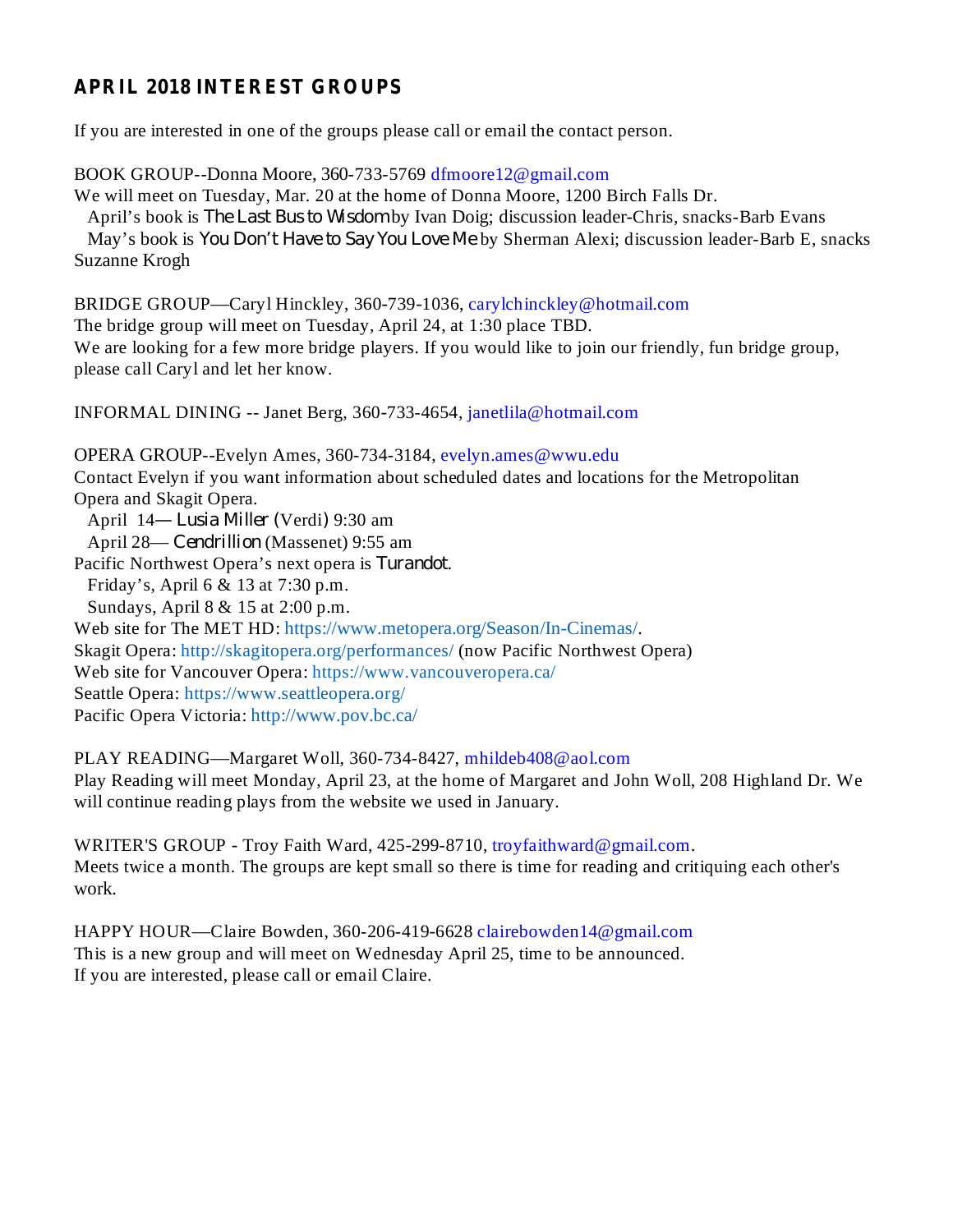# **APRIL 2018 INTEREST GROUPS**

If you are interested in one of the groups please call or email the contact person.

BOOK GROUP--Donna Moore, 360-733-5769 dfmoore12@gmail.com We will meet on Tuesday, Mar. 20 at the home of Donna Moore, 1200 Birch Falls Dr. April's book is *The Last Bus to Wisdom* by Ivan Doig; discussion leader-Chris, snacks-Barb Evans May's book is *You Don't Have to Say You Love Me* by Sherman Alexi; discussion leader-Barb E, snacks Suzanne Krogh

BRIDGE GROUP—Caryl Hinckley, 360-739-1036, carylchinckley@hotmail.com The bridge group will meet on Tuesday, April 24, at 1:30 place TBD. We are looking for a few more bridge players. If you would like to join our friendly, fun bridge group, please call Caryl and let her know.

INFORMAL DINING -- Janet Berg, 360-733-4654, janetlila@hotmail.com

OPERA GROUP--Evelyn Ames, 360-734-3184, evelyn.ames@wwu.edu Contact Evelyn if you want information about scheduled dates and locations for the Metropolitan Opera and Skagit Opera. April 14— *Lusia Miller* (Verdi) 9:30 am April 28— Cendrillion (Massenet) 9:55 am Pacific Northwest Opera's next opera is Turandot. Friday's, April 6 & 13 at 7:30 p.m. Sundays, April 8 & 15 at 2:00 p.m. Web site for The MET HD: https://www.metopera.org/Season/In-Cinemas/. Skagit Opera: http://skagitopera.org/performances/ (now Pacific Northwest Opera) Web site for Vancouver Opera: https://www.vancouveropera.ca/ Seattle Opera: https://www.seattleopera.org/ Pacific Opera Victoria: http://www.pov.bc.ca/

PLAY READING—Margaret Woll, 360-734-8427, mhildeb408@aol.com Play Reading will meet Monday, April 23, at the home of Margaret and John Woll, 208 Highland Dr. We will continue reading plays from the website we used in January.

WRITER'S GROUP - Troy Faith Ward, 425-299-8710, troyfaithward@gmail.com. Meets twice a month. The groups are kept small so there is time for reading and critiquing each other's work.

HAPPY HOUR—Claire Bowden, 360-206-419-6628 clairebowden14@gmail.com This is a new group and will meet on Wednesday April 25, time to be announced. If you are interested, please call or email Claire.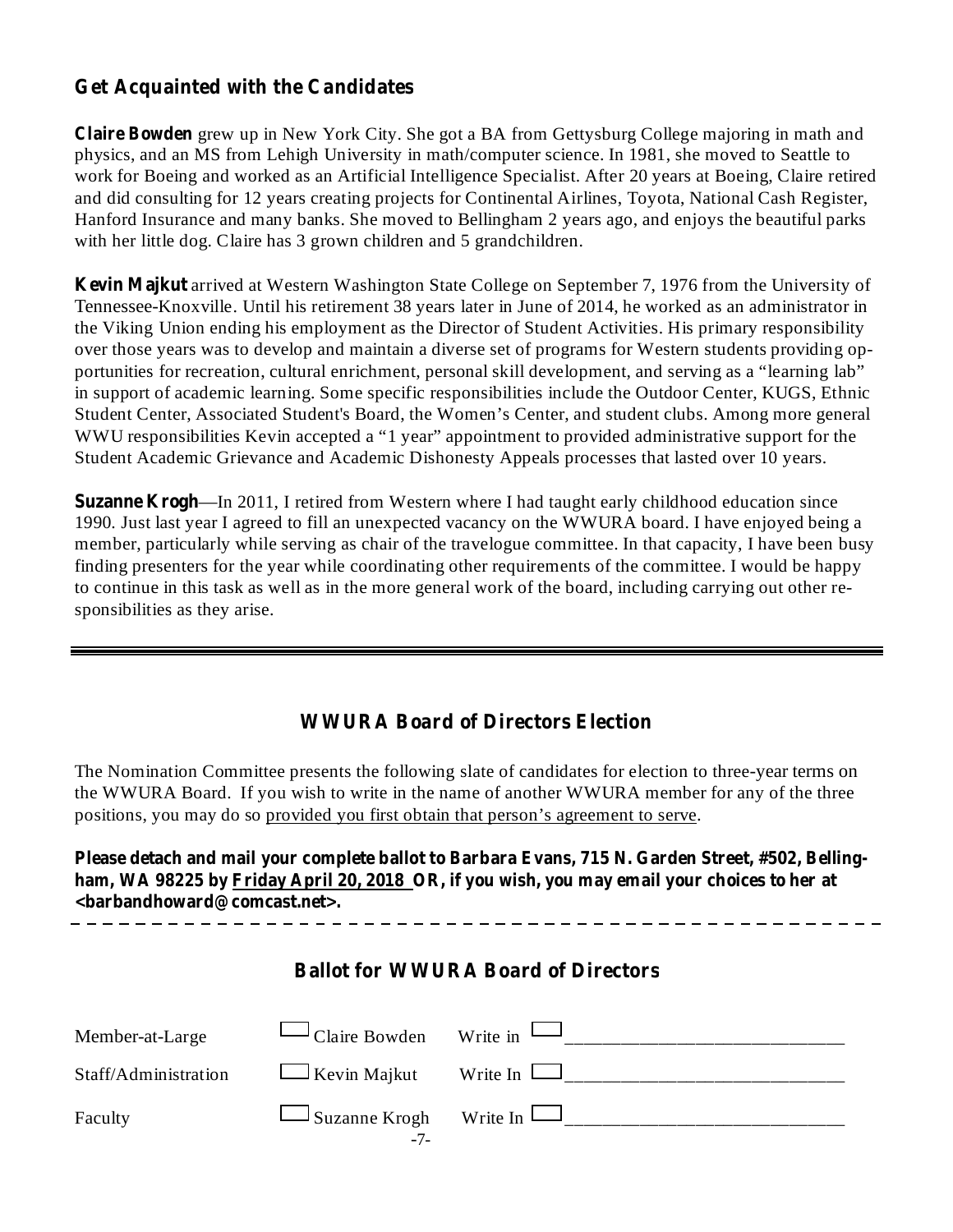# **Get Acquainted with the Candidates**

**Claire Bowden** grew up in New York City. She got a BA from Gettysburg College majoring in math and physics, and an MS from Lehigh University in math/computer science. In 1981, she moved to Seattle to work for Boeing and worked as an Artificial Intelligence Specialist. After 20 years at Boeing, Claire retired and did consulting for 12 years creating projects for Continental Airlines, Toyota, National Cash Register, Hanford Insurance and many banks. She moved to Bellingham 2 years ago, and enjoys the beautiful parks with her little dog. Claire has 3 grown children and 5 grandchildren.

**Kevin Majkut** arrived at Western Washington State College on September 7, 1976 from the University of Tennessee-Knoxville. Until his retirement 38 years later in June of 2014, he worked as an administrator in the Viking Union ending his employment as the Director of Student Activities. His primary responsibility over those years was to develop and maintain a diverse set of programs for Western students providing opportunities for recreation, cultural enrichment, personal skill development, and serving as a "learning lab" in support of academic learning. Some specific responsibilities include the Outdoor Center, KUGS, Ethnic Student Center, Associated Student's Board, the Women's Center, and student clubs. Among more general WWU responsibilities Kevin accepted a "1 year" appointment to provided administrative support for the Student Academic Grievance and Academic Dishonesty Appeals processes that lasted over 10 years.

**Suzanne Krogh** —In 2011, I retired from Western where I had taught early childhood education since 1990. Just last year I agreed to fill an unexpected vacancy on the WWURA board. I have enjoyed being a member, particularly while serving as chair of the travelogue committee. In that capacity, I have been busy finding presenters for the year while coordinating other requirements of the committee. I would be happy to continue in this task as well as in the more general work of the board, including carrying out other responsibilities as they arise.

## **WWURA Board of Directors Election**

The Nomination Committee presents the following slate of candidates for election to three-year terms on the WWURA Board. If you wish to write in the name of another WWURA member for any of the three positions, you may do so provided you first obtain that person's agreement to serve.

**Please detach and mail your complete ballot to Barbara Evans, 715 N. Garden Street, #502, Belling**ham, WA 98225 by Friday April 20, 2018 OR, if you wish, you may email your choices to her at **<barbandhoward@comcast.net>.**

#### **Ballot for WWURA Board of Directors**

| Member-at-Large      | $\Box$ Claire Bowden Write in $\Box$  |  |
|----------------------|---------------------------------------|--|
| Staff/Administration | $\Box$ Kevin Majkut Write In $\Box$   |  |
| Faculty              | $\Box$ Suzanne Krogh Write In<br>- 1- |  |